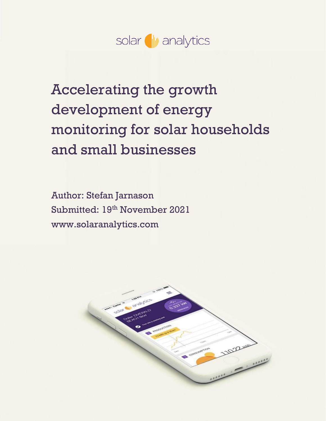

# Accelerating the growth development of energy monitoring for solar households and small businesses

Author: Stefan Jarnason Submitted: 19<sup>th</sup> November 2021 www.solaranalytics.com

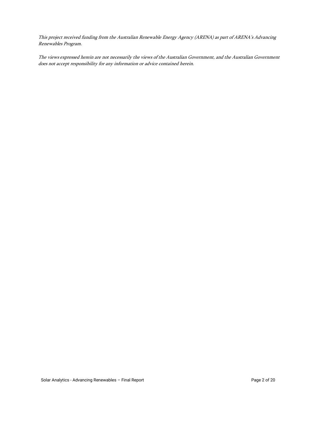This project received funding from the Australian Renewable Energy Agency (ARENA) as part of ARENA's Advancing Renewables Program.

The views expressed herein are not necessarily the views of the Australian Government, and the Australian Government does not accept responsibility for any information or advice contained herein.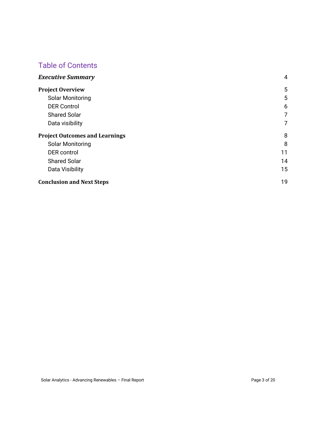## Table of Contents

| <b>Executive Summary</b>              | $\overline{4}$ |
|---------------------------------------|----------------|
| <b>Project Overview</b>               | 5              |
| <b>Solar Monitoring</b>               | 5              |
| <b>DER Control</b>                    | 6              |
| <b>Shared Solar</b>                   | 7              |
| Data visibility                       | 7              |
| <b>Project Outcomes and Learnings</b> | 8              |
| <b>Solar Monitoring</b>               | 8              |
| <b>DER</b> control                    | 11             |
| <b>Shared Solar</b>                   | 14             |
| Data Visibility                       | 15             |
| <b>Conclusion and Next Steps</b>      | 19             |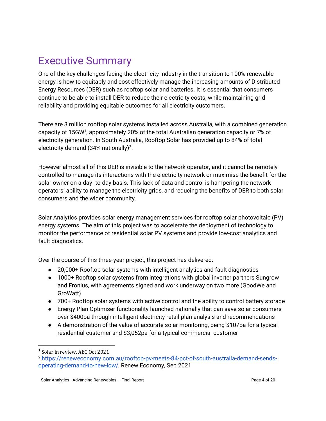## <span id="page-3-0"></span>Executive Summary

One of the key challenges facing the electricity industry in the transition to 100% renewable energy is how to equitably and cost effectively manage the increasing amounts of Distributed Energy Resources (DER) such as rooftop solar and batteries. It is essential that consumers continue to be able to install DER to reduce their electricity costs, while maintaining grid reliability and providing equitable outcomes for all electricity customers.

There are 3 million rooftop solar systems installed across Australia, with a combined generation capacity of 15GW<sup>1</sup>, approximately 20% of the total Australian generation capacity or 7% of electricity generation. In South Australia, Rooftop Solar has provided up to 84% of total electricity demand (34% nationally)<sup>2</sup>.

However almost all of this DER is invisible to the network operator, and it cannot be remotely controlled to manage its interactions with the electricity network or maximise the benefit for the solar owner on a day -to-day basis. This lack of data and control is hampering the network operators' ability to manage the electricity grids, and reducing the benefits of DER to both solar consumers and the wider community.

Solar Analytics provides solar energy management services for rooftop solar photovoltaic (PV) energy systems. The aim of this project was to accelerate the deployment of technology to monitor the performance of residential solar PV systems and provide low-cost analytics and fault diagnostics.

Over the course of this three-year project, this project has delivered:

- 20,000+ Rooftop solar systems with intelligent analytics and fault diagnostics
- 1000+ Rooftop solar systems from integrations with global inverter partners Sungrow and Fronius, with agreements signed and work underway on two more (GoodWe and GroWatt)
- 700+ Rooftop solar systems with active control and the ability to control battery storage
- Energy Plan Optimiser functionality launched nationally that can save solar consumers over \$400pa through intelligent electricity retail plan analysis and recommendations
- A demonstration of the value of accurate solar monitoring, being \$107pa for a typical residential customer and \$3,052pa for a typical commercial customer

<sup>&</sup>lt;sup>1</sup> Solar in review, AEC Oct 2021

<sup>2</sup> [https://reneweconomy.com.au/rooftop-pv-meets-84-pct-of-south-australia-demand-sends](https://reneweconomy.com.au/rooftop-pv-meets-84-pct-of-south-australia-demand-sends-operating-demand-to-new-low/)[operating-demand-to-new-low/,](https://reneweconomy.com.au/rooftop-pv-meets-84-pct-of-south-australia-demand-sends-operating-demand-to-new-low/) Renew Economy, Sep 2021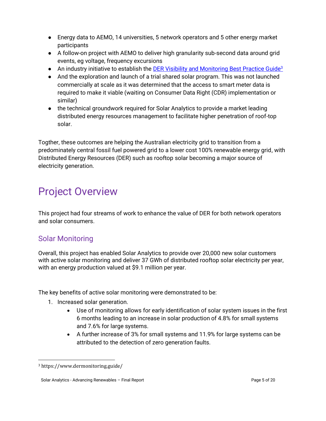- Energy data to AEMO, 14 universities, 5 network operators and 5 other energy market participants
- A follow-on project with AEMO to deliver high granularity sub-second data around grid events, eg voltage, frequency excursions
- **•** An industry initiative to establish the [DER Visibility and Monitoring Best Practice Guide](https://www.dermonitoring.guide/)<sup>3</sup>
- And the exploration and launch of a trial shared solar program. This was not launched commercially at scale as it was determined that the access to smart meter data is required to make it viable (waiting on Consumer Data Right (CDR) implementation or similar)
- the technical groundwork required for Solar Analytics to provide a market leading distributed energy resources management to facilitate higher penetration of roof-top solar.

Togther, these outcomes are helping the Australian electricity grid to transition from a predominately central fossil fuel powered grid to a lower cost 100% renewable energy grid, with Distributed Energy Resources (DER) such as rooftop solar becoming a major source of electricity generation.

## <span id="page-4-0"></span>Project Overview

This project had four streams of work to enhance the value of DER for both network operators and solar consumers.

## <span id="page-4-1"></span>Solar Monitoring

Overall, this project has enabled Solar Analytics to provide over 20,000 new solar customers with active solar monitoring and deliver 37 GWh of distributed rooftop solar electricity per year, with an energy production valued at \$9.1 million per year.

The key benefits of active solar monitoring were demonstrated to be:

- 1. Increased solar generation.
	- Use of monitoring allows for early identification of solar system issues in the first 6 months leading to an increase in solar production of 4.8% for small systems and 7.6% for large systems.
	- A further increase of 3% for small systems and 11.9% for large systems can be attributed to the detection of zero generation faults.

<sup>3</sup> https://www.dermonitoring.guide/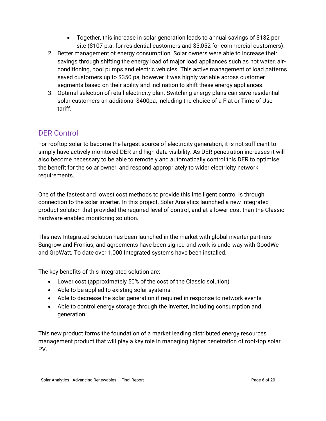- Together, this increase in solar generation leads to annual savings of \$132 per site (\$107 p.a. for residential customers and \$3,052 for commercial customers).
- 2. Better management of energy consumption. Solar owners were able to increase their savings through shifting the energy load of major load appliances such as hot water, airconditioning, pool pumps and electric vehicles. This active management of load patterns saved customers up to \$350 pa, however it was highly variable across customer segments based on their ability and inclination to shift these energy appliances.
- 3. Optimal selection of retail electricity plan. Switching energy plans can save residential solar customers an additional \$400pa, including the choice of a Flat or Time of Use tariff.

## <span id="page-5-0"></span>DER Control

For rooftop solar to become the largest source of electricity generation, it is not sufficient to simply have actively monitored DER and high data visibility. As DER penetration increases it will also become necessary to be able to remotely and automatically control this DER to optimise the benefit for the solar owner, and respond appropriately to wider electricity network requirements.

One of the fastest and lowest cost methods to provide this intelligent control is through connection to the solar inverter. In this project, Solar Analytics launched a new Integrated product solution that provided the required level of control, and at a lower cost than the Classic hardware enabled monitoring solution.

This new Integrated solution has been launched in the market with global inverter partners Sungrow and Fronius, and agreements have been signed and work is underway with GoodWe and GroWatt. To date over 1,000 Integrated systems have been installed.

The key benefits of this Integrated solution are:

- Lower cost (approximately 50% of the cost of the Classic solution)
- Able to be applied to existing solar systems
- Able to decrease the solar generation if required in response to network events
- Able to control energy storage through the inverter, including consumption and generation

This new product forms the foundation of a market leading distributed energy resources management product that will play a key role in managing higher penetration of roof-top solar PV.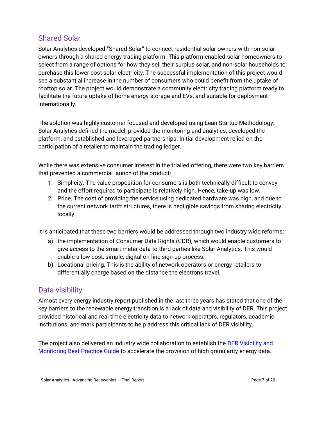### <span id="page-6-0"></span>Shared Solar

Solar Analytics developed "Shared Solar" to connect residential solar owners with non-solar owners through a shared energy trading platform. This platform enabled solar homeowners to select from a range of options for how they sell their surplus solar, and non-solar households to purchase this lower cost solar electricity. The successful implementation of this project would see a substantial increase in the number of consumers who could benefit from the uptake of rooftop solar. The project would demonstrate a community electricity trading platform ready to facilitate the future uptake of home energy storage and EVs, and suitable for deployment internationally.

The solution was highly customer focused and developed using Lean Startup Methodology. Solar Analytics defined the model, provided the monitoring and analytics, developed the platform, and established and leveraged partnerships. Initial development relied on the participation of a retailer to maintain the trading ledger.

While there was extensive consumer interest in the trialled offering, there were two key barriers that prevented a commercial launch of the product:

- 1. Simplicity. The value proposition for consumers is both technically difficult to convey, and the effort required to participate is relatively high. Hence, take-up was low.
- 2. Price. The cost of providing the service using dedicated hardware was high, and due to the current network tariff structures, there is negligible savings from sharing electricity locally.

It is anticipated that these two barriers would be addressed through two industry wide reforms:

- a) the implementation of Consumer Data Rights (CDR), which would enable customers to give access to the smart meter data to third parties like Solar Analytics. This would enable a low cost, simple, digital on-line sign-up process.
- b) Locational pricing. This is the ability of network operators or energy retailers to differentially charge based on the distance the electrons travel.

## <span id="page-6-1"></span>Data visibility

Almost every energy industry report published in the last three years has stated that one of the key barriers to the renewable energy transition is a lack of data and visibility of DER. This project provided historical and real time electricity data to network operators, regulators, academic institutions, and mark participants to help address this critical lack of DER visibility.

The project also delivered an industry wide collaboration to establish the **DER Visibility and** [Monitoring Best Practice Guide](https://www.dermonitoring.guide/) to accelerate the provision of high granularity energy data.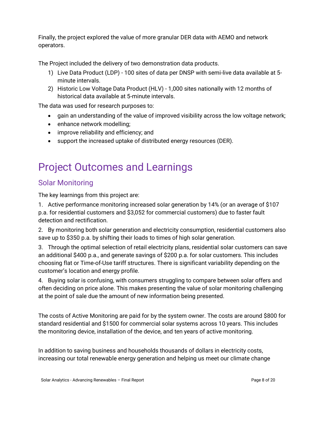Finally, the project explored the value of more granular DER data with AEMO and network operators.

The Project included the delivery of two demonstration data products.

- 1) Live Data Product (LDP) 100 sites of data per DNSP with semi-live data available at 5 minute intervals.
- 2) Historic Low Voltage Data Product (HLV) 1,000 sites nationally with 12 months of historical data available at 5-minute intervals.

The data was used for research purposes to:

- gain an understanding of the value of improved visibility across the low voltage network;
- enhance network modelling;
- improve reliability and efficiency; and
- support the increased uptake of distributed energy resources (DER).

## <span id="page-7-0"></span>Project Outcomes and Learnings

### <span id="page-7-1"></span>Solar Monitoring

The key learnings from this project are:

1. Active performance monitoring increased solar generation by 14% (or an average of \$107 p.a. for residential customers and \$3,052 for commercial customers) due to faster fault detection and rectification.

2. By monitoring both solar generation and electricity consumption, residential customers also save up to \$350 p.a. by shifting their loads to times of high solar generation.

3. Through the optimal selection of retail electricity plans, residential solar customers can save an additional \$400 p.a., and generate savings of \$200 p.a. for solar customers. This includes choosing flat or Time-of-Use tariff structures. There is significant variability depending on the customer's location and energy profile.

4. Buying solar is confusing, with consumers struggling to compare between solar offers and often deciding on price alone. This makes presenting the value of solar monitoring challenging at the point of sale due the amount of new information being presented.

The costs of Active Monitoring are paid for by the system owner. The costs are around \$800 for standard residential and \$1500 for commercial solar systems across 10 years. This includes the monitoring device, installation of the device, and ten years of active monitoring.

In addition to saving business and households thousands of dollars in electricity costs, increasing our total renewable energy generation and helping us meet our climate change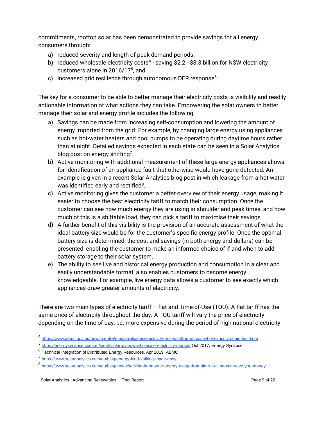commitments, rooftop solar has been demonstrated to provide savings for all energy consumers through:

- a) reduced severity and length of peak demand periods,
- b) reduced wholesale electricity costs<sup>4</sup> saving \$2.2 \$3.3 billion for NSW electricity customers alone in 2016/17<sup>5</sup> , and
- c) increased grid resilience through autonomous DER response $^6$ .

The key for a consumer to be able to better manage their electricity costs is visibility and readily actionable information of what actions they can take. Empowering the solar owners to better manage their solar and energy profile includes the following.

- a) Savings can be made from increasing self-consumption and lowering the amount of energy imported from the grid. For example, by changing large energy using appliances such as hot-water heaters and pool pumps to be operating during daytime hours rather than at night. Detailed savings expected in each state can be seen in a Solar Analytics blog post on energy shifting<sup>7</sup>.
- b) Active monitoring with additional measurement of these large energy appliances allows for identification of an appliance fault that otherwise would have gone detected. An example is given in a recent Solar Analytics blog post in which leakage from a hot water was identified early and rectified $^8$ .
- c) Active monitoring gives the customer a better overview of their energy usage, making it easier to choose the best electricity tariff to match their consumption. Once the customer can see how much energy they are using in shoulder and peak times, and how much of this is a shiftable load, they can pick a tariff to maximise their savings.
- d) A further benefit of this visibility is the provision of an accurate assessment of what the ideal battery size would be for the customer's specific energy profile. Once the optimal battery size is determined, the cost and savings (in both energy and dollars) can be presented, enabling the customer to make an informed choice of if and when to add battery storage to their solar system.
- e) The ability to see live and historical energy production and consumption in a clear and easily understandable format, also enables customers to become energy knowledgeable. For example, live energy data allows a customer to see exactly which appliances draw greater amounts of electricity.

There are two main types of electricity tariff – flat and Time-of-Use (TOU). A flat tariff has the same price of electricity throughout the day. A TOU tariff will vary the price of electricity depending on the time of day, i.e. more expensive during the period of high national electricity

<sup>4</sup> <https://www.aemc.gov.au/news-centre/media-releases/electricity-prices-falling-across-whole-supply-chain-first-time>

<sup>5</sup> https://energysynapse.com.au/small-solar-py-nsw-wholesale-electricity-market/ Oct 2017, Energy Synapse

<sup>&</sup>lt;sup>6</sup> Technical Integration of Distributed Energy Resources, Apr 2019, AEMO

<sup>7</sup> <https://www.solaranalytics.com/au/blog/energy-load-shifting-made-easy>

<sup>8</sup> <https://www.solaranalytics.com/au/blog/how-checking-in-on-your-energy-usage-from-time-to-time-can-save-you-money>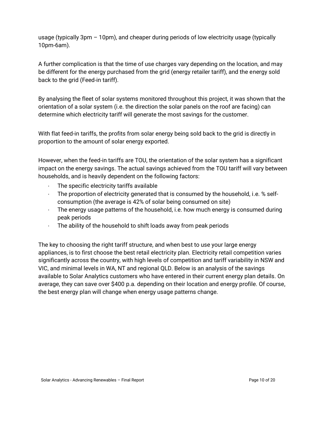usage (typically 3pm – 10pm), and cheaper during periods of low electricity usage (typically 10pm-6am).

A further complication is that the time of use charges vary depending on the location, and may be different for the energy purchased from the grid (energy retailer tariff), and the energy sold back to the grid (Feed-in tariff).

By analysing the fleet of solar systems monitored throughout this project, it was shown that the orientation of a solar system (i.e. the direction the solar panels on the roof are facing) can determine which electricity tariff will generate the most savings for the customer.

With flat feed-in tariffs, the profits from solar energy being sold back to the grid is directly in proportion to the amount of solar energy exported.

However, when the feed-in tariffs are TOU, the orientation of the solar system has a significant impact on the energy savings. The actual savings achieved from the TOU tariff will vary between households, and is heavily dependent on the following factors:

- The specific electricity tariffs available
- · The proportion of electricity generated that is consumed by the household, i.e. % selfconsumption (the average is 42% of solar being consumed on site)
- · The energy usage patterns of the household, i.e. how much energy is consumed during peak periods
- · The ability of the household to shift loads away from peak periods

The key to choosing the right tariff structure, and when best to use your large energy appliances, is to first choose the best retail electricity plan. Electricity retail competition varies significantly across the country, with high levels of competition and tariff variability in NSW and VIC, and minimal levels in WA, NT and regional QLD. Below is an analysis of the savings available to Solar Analytics customers who have entered in their current energy plan details. On average, they can save over \$400 p.a. depending on their location and energy profile. Of course, the best energy plan will change when energy usage patterns change.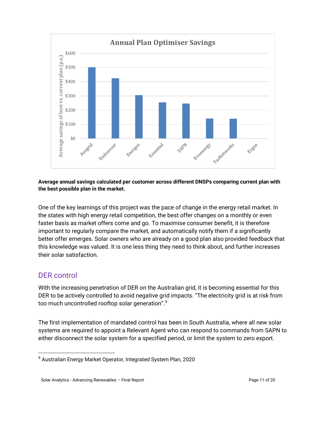

#### **Average annual savings calculated per customer across different DNSPs comparing current plan with the best possible plan in the market.**

One of the key learnings of this project was the pace of change in the energy retail market. In the states with high energy retail competition, the best offer changes on a monthly or even faster basis as market offers come and go. To maximise consumer benefit, it is therefore important to regularly compare the market, and automatically notify them if a significantly better offer emerges. Solar owners who are already on a good plan also provided feedback that this knowledge was valued. It is one less thing they need to think about, and further increases their solar satisfaction.

## <span id="page-10-0"></span>DER control

With the increasing penetration of DER on the Australian grid, it is becoming essential for this DER to be actively controlled to avoid negative grid impacts. "The electricity grid is at risk from too much uncontrolled rooftop solar generation".<sup>9</sup>

The first implementation of mandated control has been in South Australia, where all new solar systems are required to appoint a Relevant Agent who can respond to commands from SAPN to either disconnect the solar system for a specified period, or limit the system to zero export.

<sup>9</sup> Australian Energy Market Operator, Integrated System Plan, 2020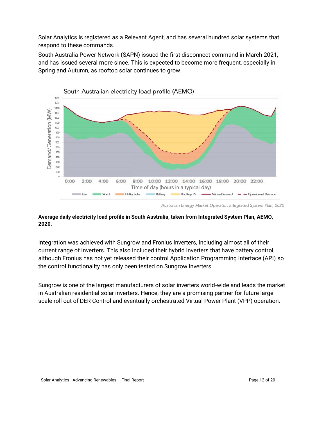Solar Analytics is registered as a Relevant Agent, and has several hundred solar systems that respond to these commands.

South Australia Power Network (SAPN) issued the first disconnect command in March 2021, and has issued several more since. This is expected to become more frequent, especially in Spring and Autumn, as rooftop solar continues to grow.



Australian Energy Market Operator, Integrated System Plan, 2020

#### **Average daily electricity load profile in South Australia, taken from Integrated System Plan, AEMO, 2020.**

Integration was achieved with Sungrow and Fronius inverters, including almost all of their current range of inverters. This also included their hybrid inverters that have battery control, although Fronius has not yet released their control Application Programming Interface (API) so the control functionality has only been tested on Sungrow inverters.

Sungrow is one of the largest manufacturers of solar inverters world-wide and leads the market in Australian residential solar inverters. Hence, they are a promising partner for future large scale roll out of DER Control and eventually orchestrated Virtual Power Plant (VPP) operation.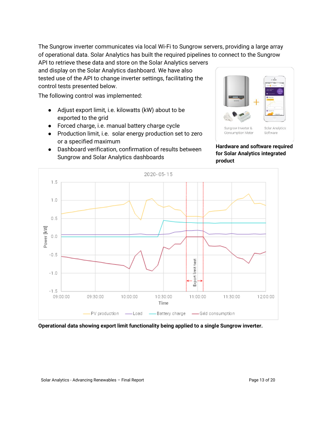The Sungrow inverter communicates via local Wi-Fi to Sungrow servers, providing a large array of operational data. Solar Analytics has built the required pipelines to connect to the Sungrow

API to retrieve these data and store on the Solar Analytics servers and display on the Solar Analytics dashboard. We have also tested use of the API to change inverter settings, facilitating the control tests presented below.

The following control was implemented:

- Adjust export limit, i.e. kilowatts (kW) about to be exported to the grid
- Forced charge, i.e. manual battery charge cycle
- Production limit, i.e. solar energy production set to zero or a specified maximum
- Dashboard verification, confirmation of results between Sungrow and Solar Analytics dashboards



**Hardware and software required for Solar Analytics integrated product**



**Operational data showing export limit functionality being applied to a single Sungrow inverter.**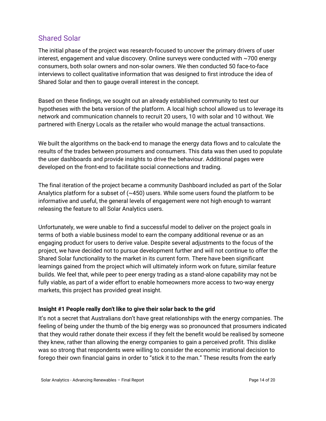### <span id="page-13-0"></span>Shared Solar

The initial phase of the project was research-focused to uncover the primary drivers of user interest, engagement and value discovery. Online surveys were conducted with ~700 energy consumers, both solar owners and non-solar owners. We then conducted 50 face-to-face interviews to collect qualitative information that was designed to first introduce the idea of Shared Solar and then to gauge overall interest in the concept.

Based on these findings, we sought out an already established community to test our hypotheses with the beta version of the platform. A local high school allowed us to leverage its network and communication channels to recruit 20 users, 10 with solar and 10 without. We partnered with Energy Locals as the retailer who would manage the actual transactions.

We built the algorithms on the back-end to manage the energy data flows and to calculate the results of the trades between prosumers and consumers. This data was then used to populate the user dashboards and provide insights to drive the behaviour. Additional pages were developed on the front-end to facilitate social connections and trading.

The final iteration of the project became a community Dashboard included as part of the Solar Analytics platform for a subset of  $(\sim 450)$  users. While some users found the platform to be informative and useful, the general levels of engagement were not high enough to warrant releasing the feature to all Solar Analytics users.

Unfortunately, we were unable to find a successful model to deliver on the project goals in terms of both a viable business model to earn the company additional revenue or as an engaging product for users to derive value. Despite several adjustments to the focus of the project, we have decided not to pursue development further and will not continue to offer the Shared Solar functionality to the market in its current form. There have been significant learnings gained from the project which will ultimately inform work on future, similar feature builds. We feel that, while peer to peer energy trading as a stand-alone capability may not be fully viable, as part of a wider effort to enable homeowners more access to two-way energy markets, this project has provided great insight.

#### **Insight #1 People really don't like to give their solar back to the grid**

It's not a secret that Australians don't have great relationships with the energy companies. The feeling of being under the thumb of the big energy was so pronounced that prosumers indicated that they would rather donate their excess if they felt the benefit would be realised by someone they knew, rather than allowing the energy companies to gain a perceived profit. This dislike was so strong that respondents were willing to consider the economic irrational decision to forego their own financial gains in order to "stick it to the man." These results from the early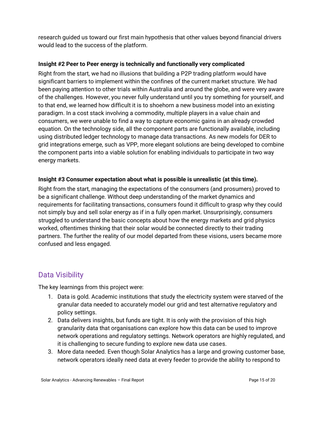research guided us toward our first main hypothesis that other values beyond financial drivers would lead to the success of the platform.

#### **Insight #2 Peer to Peer energy is technically and functionally very complicated**

Right from the start, we had no illusions that building a P2P trading platform would have significant barriers to implement within the confines of the current market structure. We had been paying attention to other trials within Australia and around the globe, and were very aware of the challenges. However, you never fully understand until you try something for yourself, and to that end, we learned how difficult it is to shoehorn a new business model into an existing paradigm. In a cost stack involving a commodity, multiple players in a value chain and consumers, we were unable to find a way to capture economic gains in an already crowded equation. On the technology side, all the component parts are functionally available, including using distributed ledger technology to manage data transactions. As new models for DER to grid integrations emerge, such as VPP, more elegant solutions are being developed to combine the component parts into a viable solution for enabling individuals to participate in two way energy markets.

#### **Insight #3 Consumer expectation about what is possible is unrealistic (at this time).**

Right from the start, managing the expectations of the consumers (and prosumers) proved to be a significant challenge. Without deep understanding of the market dynamics and requirements for facilitating transactions, consumers found it difficult to grasp why they could not simply buy and sell solar energy as if in a fully open market. Unsurprisingly, consumers struggled to understand the basic concepts about how the energy markets and grid physics worked, oftentimes thinking that their solar would be connected directly to their trading partners. The further the reality of our model departed from these visions, users became more confused and less engaged.

## <span id="page-14-0"></span>Data Visibility

The key learnings from this project were:

- 1. Data is gold. Academic institutions that study the electricity system were starved of the granular data needed to accurately model our grid and test alternative regulatory and policy settings.
- 2. Data delivers insights, but funds are tight. It is only with the provision of this high granularity data that organisations can explore how this data can be used to improve network operations and regulatory settings. Network operators are highly regulated, and it is challenging to secure funding to explore new data use cases.
- 3. More data needed. Even though Solar Analytics has a large and growing customer base, network operators ideally need data at every feeder to provide the ability to respond to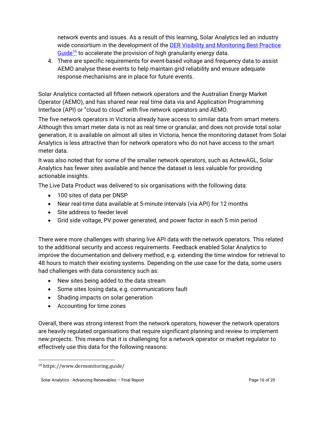network events and issues. As a result of this learning, Solar Analytics led an industry wide consortium in the development of the [DER Visibility and Monitoring Best Practice](https://www.dermonitoring.guide/)  [Guide](https://www.dermonitoring.guide/)<sup>10</sup> to accelerate the provision of high granularity energy data.

4. There are specific requirements for event-based voltage and frequency data to assist AEMO analyse these events to help maintain grid reliability and ensure adequate response mechanisms are in place for future events.

Solar Analytics contacted all fifteen network operators and the Australian Energy Market Operator (AEMO), and has shared near real time data via and Application Programming Interface (API) or "cloud to cloud" with five network operators and AEMO.

The five network operators in Victoria already have access to similar data from smart meters. Although this smart meter data is not as real time or granular, and does not provide total solar generation, it is available on almost all sites in Victoria, hence the monitoring dataset from Solar Analytics is less attractive than for network operators who do not have access to the smart meter data.

It was also noted that for some of the smaller network operators, such as ActewAGL, Solar Analytics has fewer sites available and hence the dataset is less valuable for providing actionable insights.

The Live Data Product was delivered to six organisations with the following data:

- 100 sites of data per DNSP
- Near real-time data available at 5-minute intervals (via API) for 12 months
- Site address to feeder level
- Grid side voltage, PV power generated, and power factor in each 5 min period

There were more challenges with sharing live API data with the network operators. This related to the additional security and access requirements. Feedback enabled Solar Analytics to improve the documentation and delivery method, e.g. extending the time window for retrieval to 48 hours to match their existing systems. Depending on the use case for the data, some users had challenges with data consistency such as:

- New sites being added to the data stream
- Some sites losing data, e.g. communications fault
- Shading impacts on solar generation
- Accounting for time zones

Overall, there was strong interest from the network operators, however the network operators are heavily regulated organisations that require significant planning and review to implement new projects. This means that it is challenging for a network operator or market regulator to effectively use this data for the following reasons:

<sup>10</sup> https://www.dermonitoring.guide/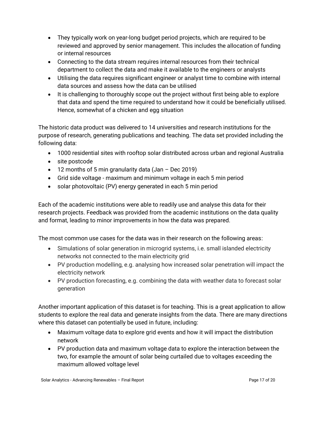- They typically work on year-long budget period projects, which are required to be reviewed and approved by senior management. This includes the allocation of funding or internal resources
- Connecting to the data stream requires internal resources from their technical department to collect the data and make it available to the engineers or analysts
- Utilising the data requires significant engineer or analyst time to combine with internal data sources and assess how the data can be utilised
- It is challenging to thoroughly scope out the project without first being able to explore that data and spend the time required to understand how it could be beneficially utilised. Hence, somewhat of a chicken and egg situation

The historic data product was delivered to 14 universities and research institutions for the purpose of research, generating publications and teaching. The data set provided including the following data:

- 1000 residential sites with rooftop solar distributed across urban and regional Australia
- site postcode
- 12 months of 5 min granularity data (Jan Dec 2019)
- Grid side voltage maximum and minimum voltage in each 5 min period
- solar photovoltaic (PV) energy generated in each 5 min period

Each of the academic institutions were able to readily use and analyse this data for their research projects. Feedback was provided from the academic institutions on the data quality and format, leading to minor improvements in how the data was prepared.

The most common use cases for the data was in their research on the following areas:

- Simulations of solar generation in microgrid systems, i.e. small islanded electricity networks not connected to the main electricity grid
- PV production modelling, e.g. analysing how increased solar penetration will impact the electricity network
- PV production forecasting, e.g. combining the data with weather data to forecast solar generation

Another important application of this dataset is for teaching. This is a great application to allow students to explore the real data and generate insights from the data. There are many directions where this dataset can potentially be used in future, including:

- Maximum voltage data to explore grid events and how it will impact the distribution network
- PV production data and maximum voltage data to explore the interaction between the two, for example the amount of solar being curtailed due to voltages exceeding the maximum allowed voltage level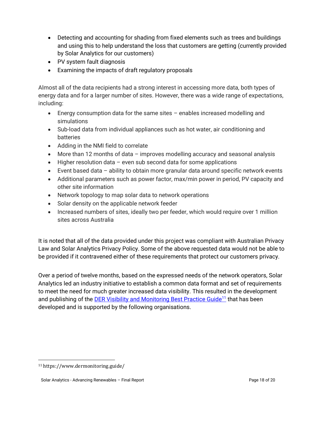- Detecting and accounting for shading from fixed elements such as trees and buildings and using this to help understand the loss that customers are getting (currently provided by Solar Analytics for our customers)
- PV system fault diagnosis
- Examining the impacts of draft regulatory proposals

Almost all of the data recipients had a strong interest in accessing more data, both types of energy data and for a larger number of sites. However, there was a wide range of expectations, including:

- Energy consumption data for the same sites enables increased modelling and simulations
- Sub-load data from individual appliances such as hot water, air conditioning and batteries
- Adding in the NMI field to correlate
- More than 12 months of data improves modelling accuracy and seasonal analysis
- Higher resolution data even sub second data for some applications
- Event based data ability to obtain more granular data around specific network events
- Additional parameters such as power factor, max/min power in period, PV capacity and other site information
- Network topology to map solar data to network operations
- Solar density on the applicable network feeder
- Increased numbers of sites, ideally two per feeder, which would require over 1 million sites across Australia

It is noted that all of the data provided under this project was compliant with Australian Privacy Law and Solar Analytics Privacy Policy. Some of the above requested data would not be able to be provided if it contravened either of these requirements that protect our customers privacy.

Over a period of twelve months, based on the expressed needs of the network operators, Solar Analytics led an industry initiative to establish a common data format and set of requirements to meet the need for much greater increased data visibility. This resulted in the development and publishing of the **DER Visibility and Monitoring Best Practice Guide<sup>11</sup> that has been** developed and is supported by the following organisations.

<sup>11</sup> https://www.dermonitoring.guide/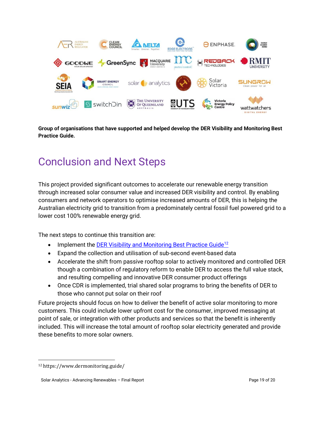

**Group of organisations that have supported and helped develop the DER Visibility and Monitoring Best Practice Guide.**

## <span id="page-18-0"></span>Conclusion and Next Steps

This project provided significant outcomes to accelerate our renewable energy transition through increased solar consumer value and increased DER visibility and control. By enabling consumers and network operators to optimise increased amounts of DER, this is helping the Australian electricity grid to transition from a predominately central fossil fuel powered grid to a lower cost 100% renewable energy grid.

The next steps to continue this transition are:

- Implement the **DER Visibility and Monitoring Best Practice Guide**<sup>12</sup>
- Expand the collection and utilisation of sub-second event-based data
- Accelerate the shift from passive rooftop solar to actively monitored and controlled DER though a combination of regulatory reform to enable DER to access the full value stack, and resulting compelling and innovative DER consumer product offerings
- Once CDR is implemented, trial shared solar programs to bring the benefits of DER to those who cannot put solar on their roof

Future projects should focus on how to deliver the benefit of active solar monitoring to more customers. This could include lower upfront cost for the consumer, improved messaging at point of sale, or integration with other products and services so that the benefit is inherently included. This will increase the total amount of rooftop solar electricity generated and provide these benefits to more solar owners.

<sup>12</sup> https://www.dermonitoring.guide/